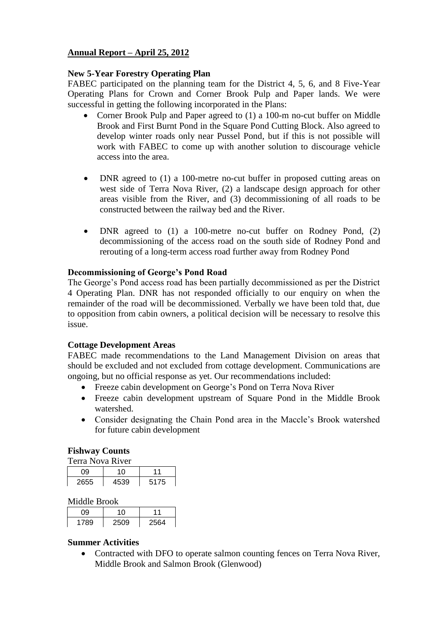# **Annual Report – April 25, 2012**

## **New 5-Year Forestry Operating Plan**

FABEC participated on the planning team for the District 4, 5, 6, and 8 Five-Year Operating Plans for Crown and Corner Brook Pulp and Paper lands. We were successful in getting the following incorporated in the Plans:

- Corner Brook Pulp and Paper agreed to (1) a 100-m no-cut buffer on Middle Brook and First Burnt Pond in the Square Pond Cutting Block. Also agreed to develop winter roads only near Pussel Pond, but if this is not possible will work with FABEC to come up with another solution to discourage vehicle access into the area.
- DNR agreed to (1) a 100-metre no-cut buffer in proposed cutting areas on west side of Terra Nova River, (2) a landscape design approach for other areas visible from the River, and (3) decommissioning of all roads to be constructed between the railway bed and the River.
- DNR agreed to (1) a 100-metre no-cut buffer on Rodney Pond, (2) decommissioning of the access road on the south side of Rodney Pond and rerouting of a long-term access road further away from Rodney Pond

## **Decommissioning of George's Pond Road**

The George's Pond access road has been partially decommissioned as per the District 4 Operating Plan. DNR has not responded officially to our enquiry on when the remainder of the road will be decommissioned. Verbally we have been told that, due to opposition from cabin owners, a political decision will be necessary to resolve this issue.

## **Cottage Development Areas**

FABEC made recommendations to the Land Management Division on areas that should be excluded and not excluded from cottage development. Communications are ongoing, but no official response as yet. Our recommendations included:

- Freeze cabin development on George's Pond on Terra Nova River
- Freeze cabin development upstream of Square Pond in the Middle Brook watershed.
- Consider designating the Chain Pond area in the Maccle's Brook watershed for future cabin development

## **Fishway Counts**

| Terra Nova River |      |      |
|------------------|------|------|
| 09               | 10   | 11   |
| 2655             | 4539 | 5175 |

Middle Brook

|      | . .<br>__ |      |
|------|-----------|------|
| ገዐ   |           |      |
| 1789 | 2509      | 2564 |

## **Summer Activities**

• Contracted with DFO to operate salmon counting fences on Terra Nova River, Middle Brook and Salmon Brook (Glenwood)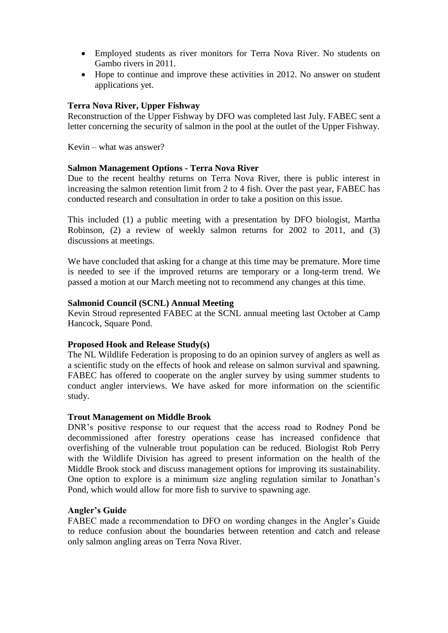- Employed students as river monitors for Terra Nova River. No students on Gambo rivers in 2011.
- Hope to continue and improve these activities in 2012. No answer on student applications yet.

## **Terra Nova River, Upper Fishway**

Reconstruction of the Upper Fishway by DFO was completed last July. FABEC sent a letter concerning the security of salmon in the pool at the outlet of the Upper Fishway.

Kevin – what was answer?

## **Salmon Management Options - Terra Nova River**

Due to the recent healthy returns on Terra Nova River, there is public interest in increasing the salmon retention limit from 2 to 4 fish. Over the past year, FABEC has conducted research and consultation in order to take a position on this issue.

This included (1) a public meeting with a presentation by DFO biologist, Martha Robinson, (2) a review of weekly salmon returns for 2002 to 2011, and (3) discussions at meetings.

We have concluded that asking for a change at this time may be premature. More time is needed to see if the improved returns are temporary or a long-term trend. We passed a motion at our March meeting not to recommend any changes at this time.

## **Salmonid Council (SCNL) Annual Meeting**

Kevin Stroud represented FABEC at the SCNL annual meeting last October at Camp Hancock, Square Pond.

#### **Proposed Hook and Release Study(s)**

The NL Wildlife Federation is proposing to do an opinion survey of anglers as well as a scientific study on the effects of hook and release on salmon survival and spawning. FABEC has offered to cooperate on the angler survey by using summer students to conduct angler interviews. We have asked for more information on the scientific study.

#### **Trout Management on Middle Brook**

DNR's positive response to our request that the access road to Rodney Pond be decommissioned after forestry operations cease has increased confidence that overfishing of the vulnerable trout population can be reduced. Biologist Rob Perry with the Wildlife Division has agreed to present information on the health of the Middle Brook stock and discuss management options for improving its sustainability. One option to explore is a minimum size angling regulation similar to Jonathan's Pond, which would allow for more fish to survive to spawning age.

## **Angler's Guide**

FABEC made a recommendation to DFO on wording changes in the Angler's Guide to reduce confusion about the boundaries between retention and catch and release only salmon angling areas on Terra Nova River.